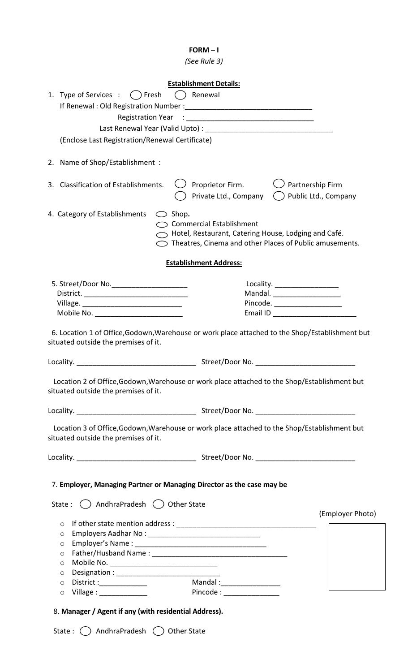## FORM – I

(See Rule 3)

| <b>Establishment Details:</b>                                                                                                           |                                                                                                                                      |
|-----------------------------------------------------------------------------------------------------------------------------------------|--------------------------------------------------------------------------------------------------------------------------------------|
| 1. Type of Services : () Fresh<br>( ) Renewal                                                                                           |                                                                                                                                      |
|                                                                                                                                         |                                                                                                                                      |
|                                                                                                                                         |                                                                                                                                      |
|                                                                                                                                         |                                                                                                                                      |
| (Enclose Last Registration/Renewal Certificate)                                                                                         |                                                                                                                                      |
|                                                                                                                                         |                                                                                                                                      |
| 2. Name of Shop/Establishment :                                                                                                         |                                                                                                                                      |
| 3. Classification of Establishments.<br>$\bigcup$ Proprietor Firm.                                                                      | Partnership Firm<br>Private Ltd., Company () Public Ltd., Company                                                                    |
| 4. Category of Establishments $\bigcirc$ Shop.<br>Commercial Establishment                                                              | $\supset$ Hotel, Restaurant, Catering House, Lodging and Café.<br>$\bigcirc$ Theatres, Cinema and other Places of Public amusements. |
| <b>Establishment Address:</b>                                                                                                           |                                                                                                                                      |
|                                                                                                                                         |                                                                                                                                      |
| 5. Street/Door No. _______________________                                                                                              | Locality. _____________________                                                                                                      |
|                                                                                                                                         | Mandal. ______________________<br>Pincode. _____________________                                                                     |
| Mobile No. __________________________                                                                                                   | Email ID _________________________                                                                                                   |
|                                                                                                                                         |                                                                                                                                      |
| 6. Location 1 of Office, Godown, Warehouse or work place attached to the Shop/Establishment but<br>situated outside the premises of it. |                                                                                                                                      |
| Locality.                                                                                                                               |                                                                                                                                      |
| Location 2 of Office, Godown, Warehouse or work place attached to the Shop/Establishment but<br>situated outside the premises of it.    |                                                                                                                                      |
|                                                                                                                                         |                                                                                                                                      |
| Location 3 of Office, Godown, Warehouse or work place attached to the Shop/Establishment but<br>situated outside the premises of it.    |                                                                                                                                      |
|                                                                                                                                         |                                                                                                                                      |
| 7. Employer, Managing Partner or Managing Director as the case may be<br>State: $\bigcirc$ AndhraPradesh $\bigcirc$ Other State         |                                                                                                                                      |
|                                                                                                                                         | (Employer Photo)                                                                                                                     |
| $\circ$                                                                                                                                 |                                                                                                                                      |
| $\circ$                                                                                                                                 |                                                                                                                                      |
| $\circ$                                                                                                                                 |                                                                                                                                      |
| $\circ$                                                                                                                                 |                                                                                                                                      |
| Mobile No. __________________________________<br>$\circ$                                                                                |                                                                                                                                      |
| $\circ$                                                                                                                                 |                                                                                                                                      |
| Mandal : ____________________<br>District :______________<br>$\circ$                                                                    |                                                                                                                                      |
| Pincode : ________________<br>$Village: __________$<br>$\circ$                                                                          |                                                                                                                                      |
| 8. Manager / Agent if any (with residential Address).                                                                                   |                                                                                                                                      |

State :  $\bigcirc$  AndhraPradesh  $\bigcirc$  Other State